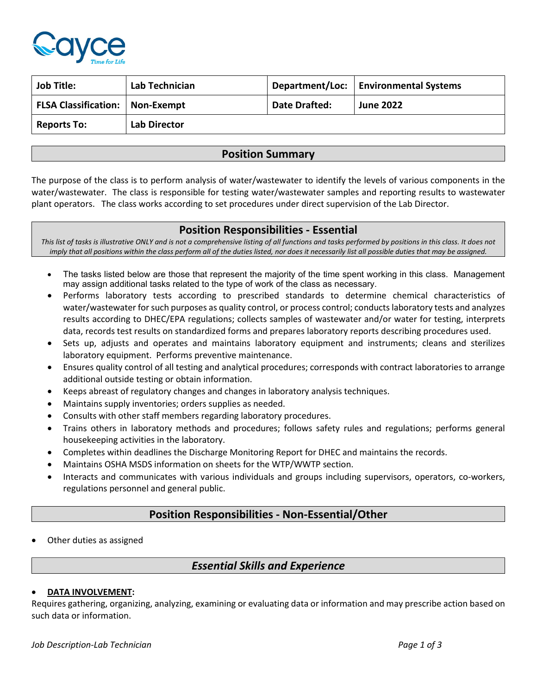

| <b>Job Title:</b>                 | Lab Technician      |               | Department/Loc:   Environmental Systems |
|-----------------------------------|---------------------|---------------|-----------------------------------------|
| FLSA Classification:   Non-Exempt |                     | Date Drafted: | <b>June 2022</b>                        |
| <b>Reports To:</b>                | <b>Lab Director</b> |               |                                         |

# **Position Summary**

The purpose of the class is to perform analysis of water/wastewater to identify the levels of various components in the water/wastewater. The class is responsible for testing water/wastewater samples and reporting results to wastewater plant operators. The class works according to set procedures under direct supervision of the Lab Director.

## **Position Responsibilities - Essential**

*This list of tasks is illustrative ONLY and is not a comprehensive listing of all functions and tasks performed by positions in this class. It does not imply that all positions within the class perform all of the duties listed, nor does it necessarily list all possible duties that may be assigned.*

- The tasks listed below are those that represent the majority of the time spent working in this class. Management may assign additional tasks related to the type of work of the class as necessary.
- Performs laboratory tests according to prescribed standards to determine chemical characteristics of water/wastewater for such purposes as quality control, or process control; conducts laboratory tests and analyzes results according to DHEC/EPA regulations; collects samples of wastewater and/or water for testing, interprets data, records test results on standardized forms and prepares laboratory reports describing procedures used.
- Sets up, adjusts and operates and maintains laboratory equipment and instruments; cleans and sterilizes laboratory equipment. Performs preventive maintenance.
- Ensures quality control of all testing and analytical procedures; corresponds with contract laboratories to arrange additional outside testing or obtain information.
- Keeps abreast of regulatory changes and changes in laboratory analysis techniques.
- Maintains supply inventories; orders supplies as needed.
- Consults with other staff members regarding laboratory procedures.
- Trains others in laboratory methods and procedures; follows safety rules and regulations; performs general housekeeping activities in the laboratory.
- Completes within deadlines the Discharge Monitoring Report for DHEC and maintains the records.
- Maintains OSHA MSDS information on sheets for the WTP/WWTP section.
- Interacts and communicates with various individuals and groups including supervisors, operators, co-workers, regulations personnel and general public.

# **Position Responsibilities - Non-Essential/Other**

• Other duties as assigned

# *Essential Skills and Experience*

## • **DATA INVOLVEMENT:**

Requires gathering, organizing, analyzing, examining or evaluating data or information and may prescribe action based on such data or information.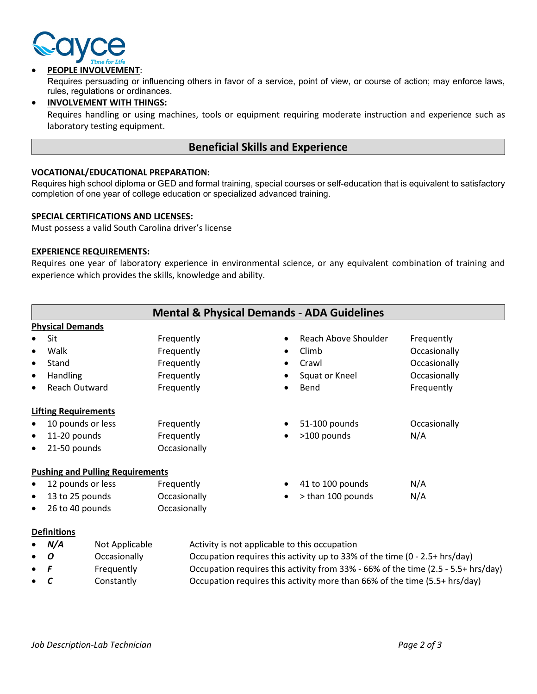

### • **PEOPLE INVOLVEMENT**:

Requires persuading or influencing others in favor of a service, point of view, or course of action; may enforce laws, rules, regulations or ordinances.

• **INVOLVEMENT WITH THINGS:**

Requires handling or using machines, tools or equipment requiring moderate instruction and experience such as laboratory testing equipment.

## **Beneficial Skills and Experience**

#### **VOCATIONAL/EDUCATIONAL PREPARATION:**

Requires high school diploma or GED and formal training, special courses or self-education that is equivalent to satisfactory completion of one year of college education or specialized advanced training.

#### **SPECIAL CERTIFICATIONS AND LICENSES:**

Must possess a valid South Carolina driver's license

#### **EXPERIENCE REQUIREMENTS:**

Requires one year of laboratory experience in environmental science, or any equivalent combination of training and experience which provides the skills, knowledge and ability.

| <b>Mental &amp; Physical Demands - ADA Guidelines</b> |              |                          |              |  |  |
|-------------------------------------------------------|--------------|--------------------------|--------------|--|--|
| <b>Physical Demands</b>                               |              |                          |              |  |  |
| Sit                                                   | Frequently   | Reach Above Shoulder     | Frequently   |  |  |
| Walk<br>$\bullet$                                     | Frequently   | Climb                    | Occasionally |  |  |
| Stand<br>$\bullet$                                    | Frequently   | Crawl                    | Occasionally |  |  |
| <b>Handling</b><br>$\bullet$                          | Frequently   | Squat or Kneel           | Occasionally |  |  |
| <b>Reach Outward</b><br>$\bullet$                     | Frequently   | Bend                     | Frequently   |  |  |
| <b>Lifting Requirements</b>                           |              |                          |              |  |  |
| 10 pounds or less<br>$\bullet$                        | Frequently   | 51-100 pounds            | Occasionally |  |  |
| 11-20 pounds<br>$\bullet$                             | Frequently   | >100 pounds<br>$\bullet$ | N/A          |  |  |
| 21-50 pounds<br>$\bullet$                             | Occasionally |                          |              |  |  |
| <b>Pushing and Pulling Requirements</b>               |              |                          |              |  |  |
| 12 pounds or less<br>$\bullet$                        | Frequently   | 41 to 100 pounds         | N/A          |  |  |
| 13 to 25 pounds<br>$\bullet$                          | Occasionally | > than 100 pounds<br>٠   | N/A          |  |  |
| 26 to 40 pounds<br>$\bullet$                          | Occasionally |                          |              |  |  |
| <b>Definitions</b>                                    |              |                          |              |  |  |

# N/A Not Applicable Activity is not applicable to this occupation *O* Occasionally **Occupation requires this activity up to 33% of the time (0 - 2.5+ hrs/day) F** Frequently **Exercise Construent Construent** Frequently **Frequently Frequently Exercise 2.5 Frequently Exercise 2.5 Frequently EXEC** • *C* Constantly Occupation requires this activity more than 66% of the time (5.5+ hrs/day)